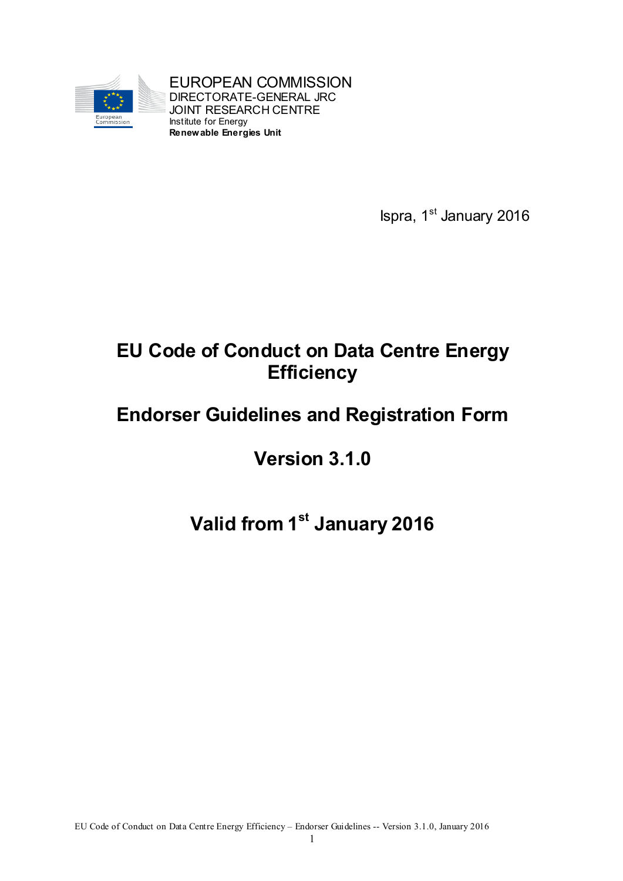

EUROPEAN COMMISSION DIRECTORATE-GENERAL JRC JOINT RESEARCH CENTRE Institute for Energy **Renewable Energies Unit**

Ispra, 1<sup>st</sup> January 2016

# **EU Code of Conduct on Data Centre Energy Efficiency**

# **Endorser Guidelines and Registration Form**

# **Version 3.1.0**

# **Valid from 1st January 2016**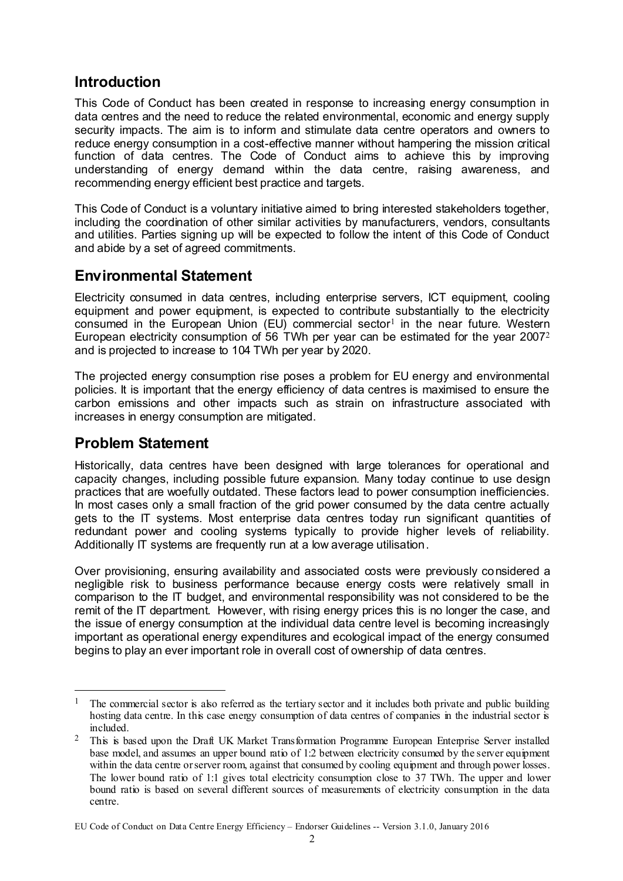### **Introduction**

This Code of Conduct has been created in response to increasing energy consumption in data centres and the need to reduce the related environmental, economic and energy supply security impacts. The aim is to inform and stimulate data centre operators and owners to reduce energy consumption in a cost-effective manner without hampering the mission critical function of data centres. The Code of Conduct aims to achieve this by improving understanding of energy demand within the data centre, raising awareness, and recommending energy efficient best practice and targets.

This Code of Conduct is a voluntary initiative aimed to bring interested stakeholders together, including the coordination of other similar activities by manufacturers, vendors, consultants and utilities. Parties signing up will be expected to follow the intent of this Code of Conduct and abide by a set of agreed commitments.

#### **Environmental Statement**

Electricity consumed in data centres, including enterprise servers, ICT equipment, cooling equipment and power equipment, is expected to contribute substantially to the electricity consumed in the European Union  $(EU)$  commercial sector<sup>1</sup> in the near future. Western European electricity consumption of 56 TWh per year can be estimated for the year  $2007<sup>2</sup>$ and is projected to increase to 104 TWh per year by 2020.

The projected energy consumption rise poses a problem for EU energy and environmental policies. It is important that the energy efficiency of data centres is maximised to ensure the carbon emissions and other impacts such as strain on infrastructure associated with increases in energy consumption are mitigated.

#### **Problem Statement**

.

Historically, data centres have been designed with large tolerances for operational and capacity changes, including possible future expansion. Many today continue to use design practices that are woefully outdated. These factors lead to power consumption inefficiencies. In most cases only a small fraction of the grid power consumed by the data centre actually gets to the IT systems. Most enterprise data centres today run significant quantities of redundant power and cooling systems typically to provide higher levels of reliability. Additionally IT systems are frequently run at a low average utilisation.

Over provisioning, ensuring availability and associated costs were previously considered a negligible risk to business performance because energy costs were relatively small in comparison to the IT budget, and environmental responsibility was not considered to be the remit of the IT department. However, with rising energy prices this is no longer the case, and the issue of energy consumption at the individual data centre level is becoming increasingly important as operational energy expenditures and ecological impact of the energy consumed begins to play an ever important role in overall cost of ownership of data centres.

<sup>&</sup>lt;sup>1</sup> The commercial sector is also referred as the tertiary sector and it includes both private and public building hosting data centre. In this case energy consumption of data centres of companies in the industrial sector is included.

<sup>&</sup>lt;sup>2</sup> This is based upon the Draft UK Market Transformation Programme European Enterprise Server installed base model, and assumes an upper bound ratio of 1:2 between electricity consumed by the server equipment within the data centre or server room, against that consumed by cooling equipment and through power losses. The lower bound ratio of 1:1 gives total electricity consumption close to 37 TWh. The upper and lower bound ratio is based on several different sources of measurements of electricity consumption in the data centre.

EU Code of Conduct on Data Centre Energy Efficiency – Endorser Guidelines -- Version 3.1.0, January 2016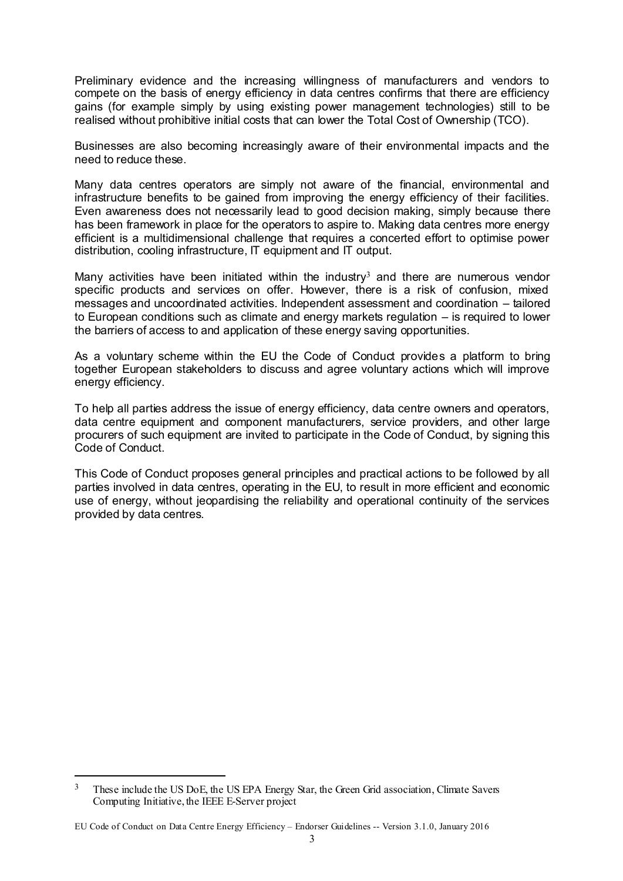Preliminary evidence and the increasing willingness of manufacturers and vendors to compete on the basis of energy efficiency in data centres confirms that there are efficiency gains (for example simply by using existing power management technologies) still to be realised without prohibitive initial costs that can lower the Total Cost of Ownership (TCO).

Businesses are also becoming increasingly aware of their environmental impacts and the need to reduce these.

Many data centres operators are simply not aware of the financial, environmental and infrastructure benefits to be gained from improving the energy efficiency of their facilities. Even awareness does not necessarily lead to good decision making, simply because there has been framework in place for the operators to aspire to. Making data centres more energy efficient is a multidimensional challenge that requires a concerted effort to optimise power distribution, cooling infrastructure, IT equipment and IT output.

Many activities have been initiated within the industry<sup>3</sup> and there are numerous vendor specific products and services on offer. However, there is a risk of confusion, mixed messages and uncoordinated activities. Independent assessment and coordination – tailored to European conditions such as climate and energy markets regulation – is required to lower the barriers of access to and application of these energy saving opportunities.

As a voluntary scheme within the EU the Code of Conduct provides a platform to bring together European stakeholders to discuss and agree voluntary actions which will improve energy efficiency.

To help all parties address the issue of energy efficiency, data centre owners and operators, data centre equipment and component manufacturers, service providers, and other large procurers of such equipment are invited to participate in the Code of Conduct, by signing this Code of Conduct.

This Code of Conduct proposes general principles and practical actions to be followed by all parties involved in data centres, operating in the EU, to result in more efficient and economic use of energy, without jeopardising the reliability and operational continuity of the services provided by data centres.

1

<sup>&</sup>lt;sup>3</sup> These include the US DoE, the US EPA Energy Star, the Green Grid association, Climate Savers Computing Initiative, the IEEE E-Server project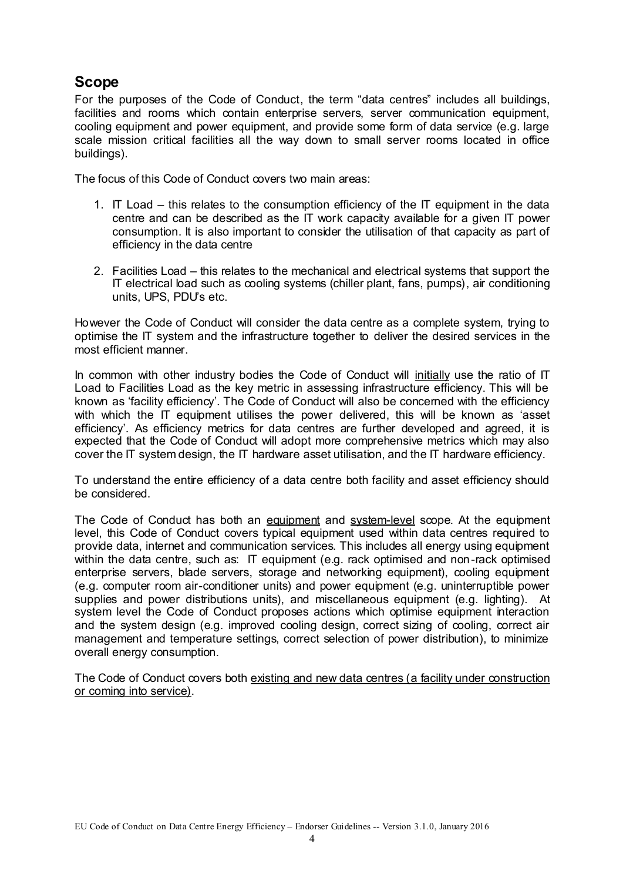## **Scope**

For the purposes of the Code of Conduct, the term "data centres" includes all buildings, facilities and rooms which contain enterprise servers, server communication equipment, cooling equipment and power equipment, and provide some form of data service (e.g. large scale mission critical facilities all the way down to small server rooms located in office buildings).

The focus of this Code of Conduct covers two main areas:

- 1. IT Load this relates to the consumption efficiency of the IT equipment in the data centre and can be described as the IT work capacity available for a given IT power consumption. It is also important to consider the utilisation of that capacity as part of efficiency in the data centre
- 2. Facilities Load this relates to the mechanical and electrical systems that support the IT electrical load such as cooling systems (chiller plant, fans, pumps), air conditioning units, UPS, PDU's etc.

However the Code of Conduct will consider the data centre as a complete system, trying to optimise the IT system and the infrastructure together to deliver the desired services in the most efficient manner.

In common with other industry bodies the Code of Conduct will initially use the ratio of IT Load to Facilities Load as the key metric in assessing infrastructure efficiency. This will be known as 'facility efficiency'. The Code of Conduct will also be concerned with the efficiency with which the IT equipment utilises the power delivered, this will be known as 'asset efficiency'. As efficiency metrics for data centres are further developed and agreed, it is expected that the Code of Conduct will adopt more comprehensive metrics which may also cover the IT system design, the IT hardware asset utilisation, and the IT hardware efficiency.

To understand the entire efficiency of a data centre both facility and asset efficiency should be considered.

The Code of Conduct has both an equipment and system-level scope. At the equipment level, this Code of Conduct covers typical equipment used within data centres required to provide data, internet and communication services. This includes all energy using equipment within the data centre, such as: IT equipment (e.g. rack optimised and non-rack optimised enterprise servers, blade servers, storage and networking equipment), cooling equipment (e.g. computer room air-conditioner units) and power equipment (e.g. uninterruptible power supplies and power distributions units), and miscellaneous equipment (e.g. lighting). At system level the Code of Conduct proposes actions which optimise equipment interaction and the system design (e.g. improved cooling design, correct sizing of cooling, correct air management and temperature settings, correct selection of power distribution), to minimize overall energy consumption.

The Code of Conduct covers both existing and new data centres (a facility under construction or coming into service).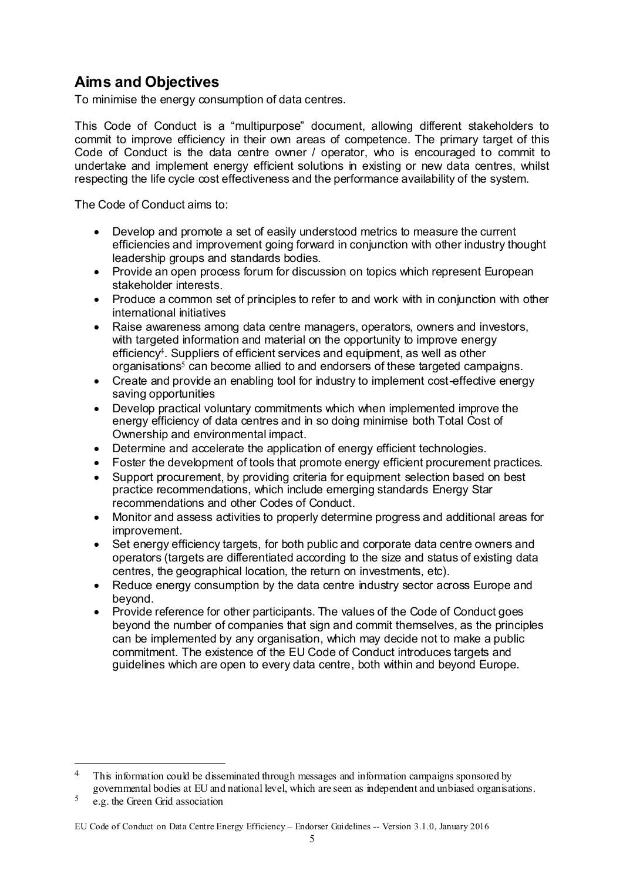## **Aims and Objectives**

To minimise the energy consumption of data centres.

This Code of Conduct is a "multipurpose" document, allowing different stakeholders to commit to improve efficiency in their own areas of competence. The primary target of this Code of Conduct is the data centre owner / operator, who is encouraged to commit to undertake and implement energy efficient solutions in existing or new data centres, whilst respecting the life cycle cost effectiveness and the performance availability of the system.

The Code of Conduct aims to:

- Develop and promote a set of easily understood metrics to measure the current efficiencies and improvement going forward in conjunction with other industry thought leadership groups and standards bodies.
- Provide an open process forum for discussion on topics which represent European stakeholder interests.
- Produce a common set of principles to refer to and work with in conjunction with other international initiatives
- Raise awareness among data centre managers, operators, owners and investors, with targeted information and material on the opportunity to improve energy efficiency<sup>4</sup>. Suppliers of efficient services and equipment, as well as other organisations<sup>5</sup> can become allied to and endorsers of these targeted campaigns.
- Create and provide an enabling tool for industry to implement cost-effective energy saving opportunities
- Develop practical voluntary commitments which when implemented improve the energy efficiency of data centres and in so doing minimise both Total Cost of Ownership and environmental impact.
- Determine and accelerate the application of energy efficient technologies.
- Foster the development of tools that promote energy efficient procurement practices.
- Support procurement, by providing criteria for equipment selection based on best practice recommendations, which include emerging standards Energy Star recommendations and other Codes of Conduct.
- Monitor and assess activities to properly determine progress and additional areas for improvement.
- Set energy efficiency targets, for both public and corporate data centre owners and operators (targets are differentiated according to the size and status of existing data centres, the geographical location, the return on investments, etc).
- Reduce energy consumption by the data centre industry sector across Europe and beyond.
- Provide reference for other participants. The values of the Code of Conduct goes beyond the number of companies that sign and commit themselves, as the principles can be implemented by any organisation, which may decide not to make a public commitment. The existence of the EU Code of Conduct introduces targets and guidelines which are open to every data centre, both within and beyond Europe.

1

<sup>&</sup>lt;sup>4</sup> This information could be disseminated through messages and information campaigns sponsored by governmental bodies at EU and national level, which are seen as independent and unbiased organisations.

 $5\degree$  e.g. the Green Grid association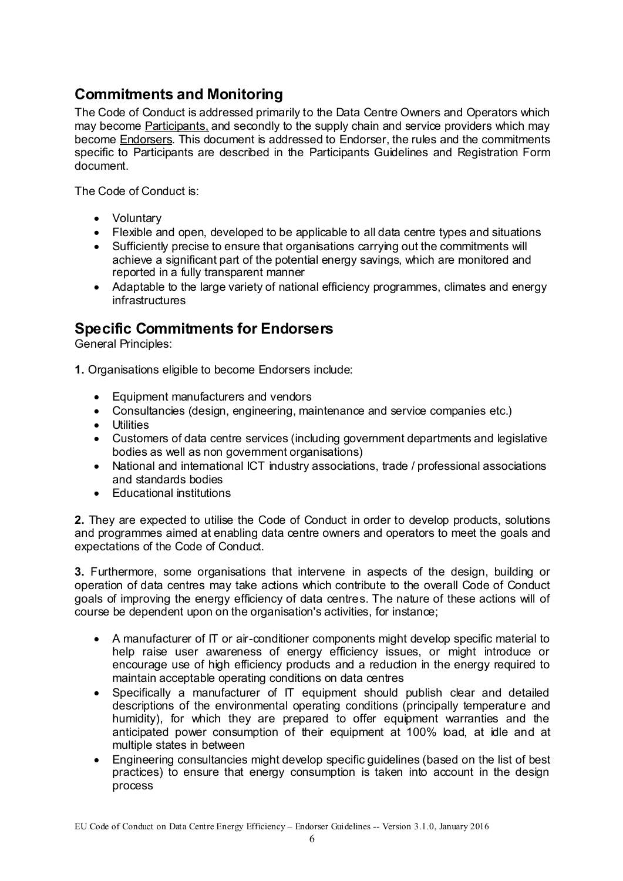## **Commitments and Monitoring**

The Code of Conduct is addressed primarily to the Data Centre Owners and Operators which may become Participants, and secondly to the supply chain and service providers which may become Endorsers. This document is addressed to Endorser, the rules and the commitments specific to Participants are described in the Participants Guidelines and Registration Form document.

The Code of Conduct is:

- Voluntary
- Flexible and open, developed to be applicable to all data centre types and situations
- Sufficiently precise to ensure that organisations carrying out the commitments will achieve a significant part of the potential energy savings, which are monitored and reported in a fully transparent manner
- Adaptable to the large variety of national efficiency programmes, climates and energy infrastructures

## **Specific Commitments for Endorsers**

General Principles:

- **1.** Organisations eligible to become Endorsers include:
	- Equipment manufacturers and vendors
	- Consultancies (design, engineering, maintenance and service companies etc.)
	- **•** Utilities
	- Customers of data centre services (including government departments and legislative bodies as well as non government organisations)
	- National and international ICT industry associations, trade / professional associations and standards bodies
	- Educational institutions

**2.** They are expected to utilise the Code of Conduct in order to develop products, solutions and programmes aimed at enabling data centre owners and operators to meet the goals and expectations of the Code of Conduct.

**3.** Furthermore, some organisations that intervene in aspects of the design, building or operation of data centres may take actions which contribute to the overall Code of Conduct goals of improving the energy efficiency of data centres. The nature of these actions will of course be dependent upon on the organisation's activities, for instance;

- A manufacturer of IT or air-conditioner components might develop specific material to help raise user awareness of energy efficiency issues, or might introduce or encourage use of high efficiency products and a reduction in the energy required to maintain acceptable operating conditions on data centres
- Specifically a manufacturer of IT equipment should publish clear and detailed descriptions of the environmental operating conditions (principally temperature and humidity), for which they are prepared to offer equipment warranties and the anticipated power consumption of their equipment at 100% load, at idle and at multiple states in between
- Engineering consultancies might develop specific guidelines (based on the list of best practices) to ensure that energy consumption is taken into account in the design process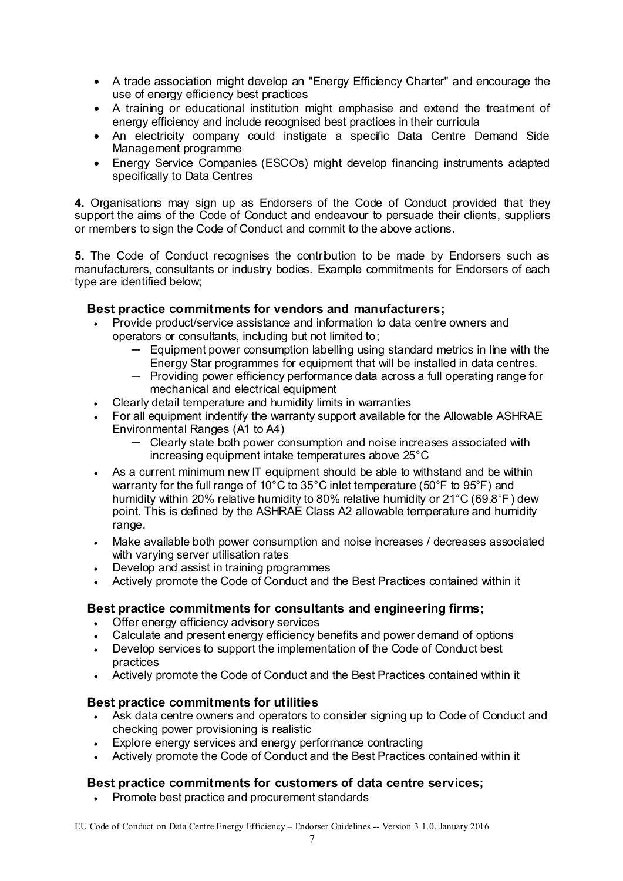- A trade association might develop an "Energy Efficiency Charter" and encourage the use of energy efficiency best practices
- A training or educational institution might emphasise and extend the treatment of energy efficiency and include recognised best practices in their curricula
- An electricity company could instigate a specific Data Centre Demand Side Management programme
- Energy Service Companies (ESCOs) might develop financing instruments adapted specifically to Data Centres

**4.** Organisations may sign up as Endorsers of the Code of Conduct provided that they support the aims of the Code of Conduct and endeavour to persuade their clients, suppliers or members to sign the Code of Conduct and commit to the above actions.

**5.** The Code of Conduct recognises the contribution to be made by Endorsers such as manufacturers, consultants or industry bodies. Example commitments for Endorsers of each type are identified below;

#### **Best practice commitments for vendors and manufacturers;**

- Provide product/service assistance and information to data centre owners and operators or consultants, including but not limited to;
	- ─ Equipment power consumption labelling using standard metrics in line with the Energy Star programmes for equipment that will be installed in data centres.
	- ─ Providing power efficiency performance data across a full operating range for mechanical and electrical equipment
- Clearly detail temperature and humidity limits in warranties
- For all equipment indentify the warranty support available for the Allowable ASHRAE Environmental Ranges (A1 to A4)
	- ─ Clearly state both power consumption and noise increases associated with increasing equipment intake temperatures above 25°C
- As a current minimum new IT equipment should be able to withstand and be within warranty for the full range of 10°C to 35°C inlet temperature (50°F to 95°F) and humidity within 20% relative humidity to 80% relative humidity or 21°C (69.8°F) dew point. This is defined by the ASHRAE Class A2 allowable temperature and humidity range.
- Make available both power consumption and noise increases / decreases associated with varying server utilisation rates
- Develop and assist in training programmes
- Actively promote the Code of Conduct and the Best Practices contained within it

#### **Best practice commitments for consultants and engineering firms;**

- Offer energy efficiency advisory services
- Calculate and present energy efficiency benefits and power demand of options
- Develop services to support the implementation of the Code of Conduct best practices
- Actively promote the Code of Conduct and the Best Practices contained within it

#### **Best practice commitments for utilities**

- Ask data centre owners and operators to consider signing up to Code of Conduct and checking power provisioning is realistic
- Explore energy services and energy performance contracting
- Actively promote the Code of Conduct and the Best Practices contained within it

#### **Best practice commitments for customers of data centre services;**

• Promote best practice and procurement standards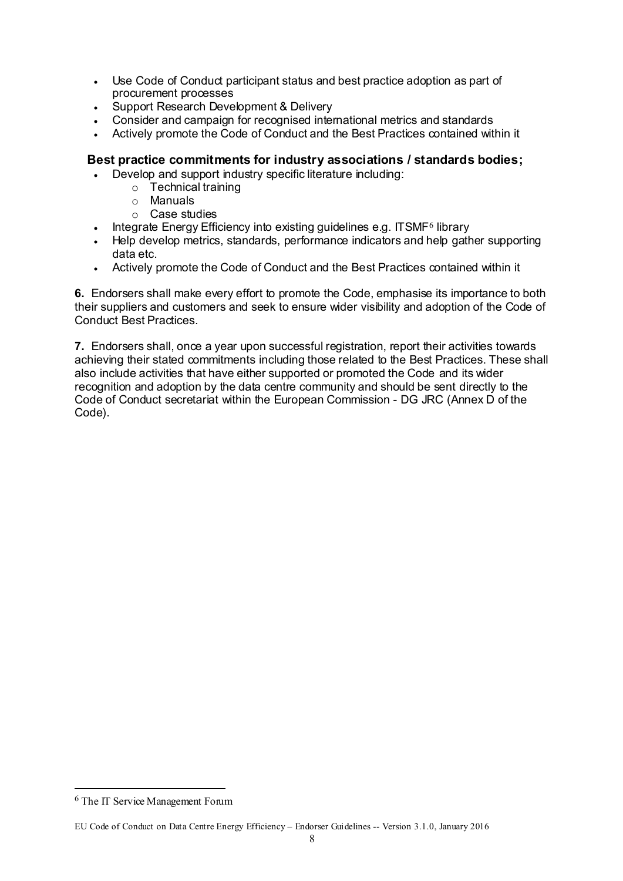- Use Code of Conduct participant status and best practice adoption as part of procurement processes
- Support Research Development & Delivery
- Consider and campaign for recognised international metrics and standards
- Actively promote the Code of Conduct and the Best Practices contained within it

#### **Best practice commitments for industry associations / standards bodies;**

- Develop and support industry specific literature including:
	- o Technical training
	- o Manuals
	- o Case studies
- Integrate Energy Efficiency into existing guidelines e.g. ITSMF<sup>6</sup> library
- Help develop metrics, standards, performance indicators and help gather supporting data etc.
- Actively promote the Code of Conduct and the Best Practices contained within it

**6.** Endorsers shall make every effort to promote the Code, emphasise its importance to both their suppliers and customers and seek to ensure wider visibility and adoption of the Code of Conduct Best Practices.

**7.** Endorsers shall, once a year upon successful registration, report their activities towards achieving their stated commitments including those related to the Best Practices. These shall also include activities that have either supported or promoted the Code and its wider recognition and adoption by the data centre community and should be sent directly to the Code of Conduct secretariat within the European Commission - DG JRC (Annex D of the Code).

1

<sup>6</sup> The IT Service Management Forum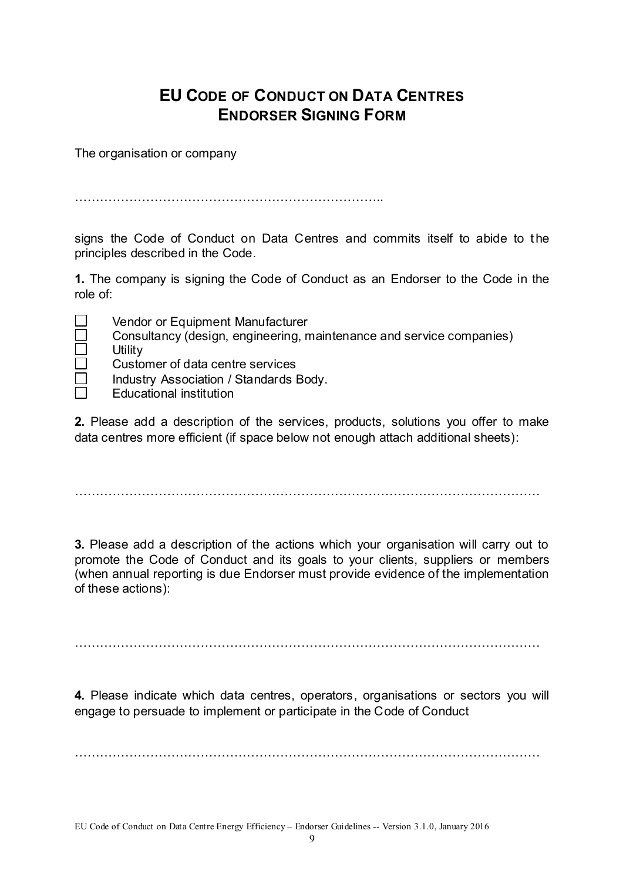## **EU CODE OF CONDUCT ON DATA CENTRES ENDORSER SIGNING FORM**

The organisation or company

………………………………………………………………..

signs the Code of Conduct on Data Centres and commits itself to abide to the principles described in the Code.

**1.** The company is signing the Code of Conduct as an Endorser to the Code in the role of:

**Utility** 

- Vendor or Equipment Manufacturer
- Consultancy (design, engineering, maintenance and service companies)
- Customer of data centre services
- Industry Association / Standards Body.
- Educational institution

**2.** Please add a description of the services, products, solutions you offer to make data centres more efficient (if space below not enough attach additional sheets):

…………………………………………………………………………………………………

**3.** Please add a description of the actions which your organisation will carry out to promote the Code of Conduct and its goals to your clients, suppliers or members (when annual reporting is due Endorser must provide evidence of the implementation of these actions):

…………………………………………………………………………………………………

**4.** Please indicate which data centres, operators, organisations or sectors you will engage to persuade to implement or participate in the Code of Conduct

…………………………………………………………………………………………………